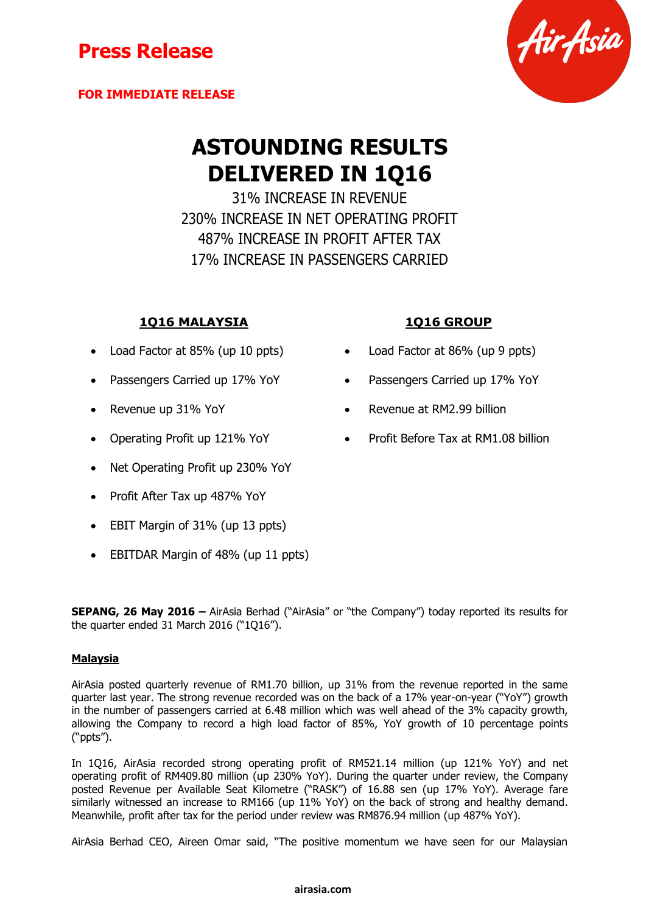### **FOR IMMEDIATE RELEASE**



# **ASTOUNDING RESULTS DELIVERED IN 1Q16**

31% INCREASE IN REVENUE 230% INCREASE IN NET OPERATING PROFIT 487% INCREASE IN PROFIT AFTER TAX 17% INCREASE IN PASSENGERS CARRIED

### **1Q16 MALAYSIA 1Q16 GROUP**

- 
- 
- 
- 
- Net Operating Profit up 230% YoY
- Profit After Tax up 487% YoY
- EBIT Margin of 31% (up 13 ppts)
- EBITDAR Margin of 48% (up 11 ppts)

**SEPANG, 26 May 2016 –** AirAsia Berhad ("AirAsia" or "the Company") today reported its results for the quarter ended 31 March 2016 ("1Q16").

#### **Malaysia**

AirAsia posted quarterly revenue of RM1.70 billion, up 31% from the revenue reported in the same quarter last year. The strong revenue recorded was on the back of a 17% year-on-year ("YoY") growth in the number of passengers carried at 6.48 million which was well ahead of the 3% capacity growth, allowing the Company to record a high load factor of 85%, YoY growth of 10 percentage points ("ppts").

In 1Q16, AirAsia recorded strong operating profit of RM521.14 million (up 121% YoY) and net operating profit of RM409.80 million (up 230% YoY). During the quarter under review, the Company posted Revenue per Available Seat Kilometre ("RASK") of 16.88 sen (up 17% YoY). Average fare similarly witnessed an increase to RM166 (up 11% YoY) on the back of strong and healthy demand. Meanwhile, profit after tax for the period under review was RM876.94 million (up 487% YoY).

AirAsia Berhad CEO, Aireen Omar said, "The positive momentum we have seen for our Malaysian

- Load Factor at 85% (up 10 ppts) Load Factor at 86% (up 9 ppts)
- Passengers Carried up 17% YoY **•** Passengers Carried up 17% YoY
- Revenue up 31% YoY **Revenue at RM2.99 billion**
- Operating Profit up 121% YoY Profit Before Tax at RM1.08 billion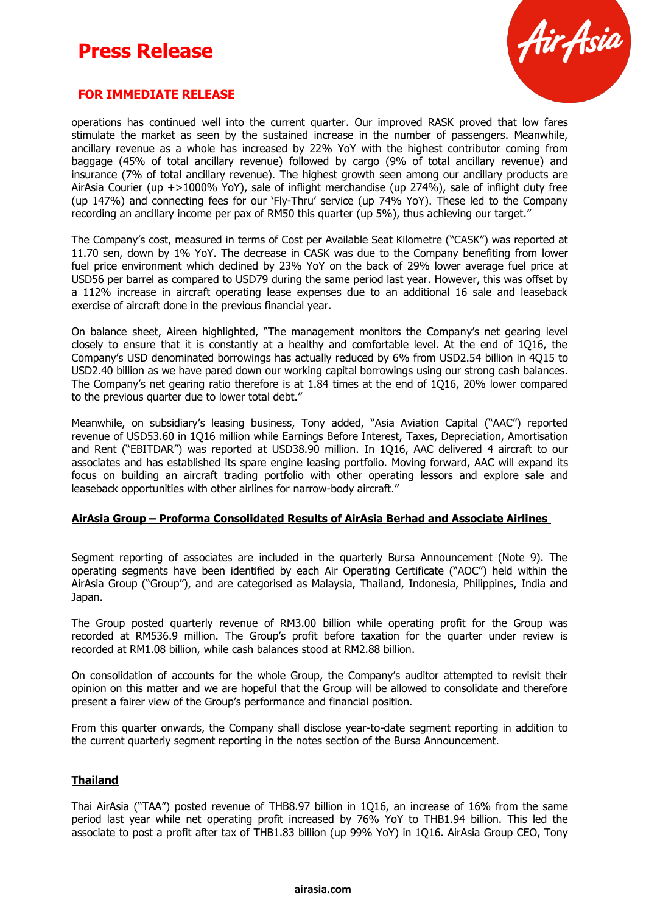

### **FOR IMMEDIATE RELEASE**

operations has continued well into the current quarter. Our improved RASK proved that low fares stimulate the market as seen by the sustained increase in the number of passengers. Meanwhile, ancillary revenue as a whole has increased by 22% YoY with the highest contributor coming from baggage (45% of total ancillary revenue) followed by cargo (9% of total ancillary revenue) and insurance (7% of total ancillary revenue). The highest growth seen among our ancillary products are AirAsia Courier (up +>1000% YoY), sale of inflight merchandise (up 274%), sale of inflight duty free (up 147%) and connecting fees for our 'Fly-Thru' service (up 74% YoY). These led to the Company recording an ancillary income per pax of RM50 this quarter (up 5%), thus achieving our target."

The Company's cost, measured in terms of Cost per Available Seat Kilometre ("CASK") was reported at 11.70 sen, down by 1% YoY. The decrease in CASK was due to the Company benefiting from lower fuel price environment which declined by 23% YoY on the back of 29% lower average fuel price at USD56 per barrel as compared to USD79 during the same period last year. However, this was offset by a 112% increase in aircraft operating lease expenses due to an additional 16 sale and leaseback exercise of aircraft done in the previous financial year.

On balance sheet, Aireen highlighted, "The management monitors the Company's net gearing level closely to ensure that it is constantly at a healthy and comfortable level. At the end of 1Q16, the Company's USD denominated borrowings has actually reduced by 6% from USD2.54 billion in 4Q15 to USD2.40 billion as we have pared down our working capital borrowings using our strong cash balances. The Company's net gearing ratio therefore is at 1.84 times at the end of 1Q16, 20% lower compared to the previous quarter due to lower total debt."

Meanwhile, on subsidiary's leasing business, Tony added, "Asia Aviation Capital ("AAC") reported revenue of USD53.60 in 1Q16 million while Earnings Before Interest, Taxes, Depreciation, Amortisation and Rent ("EBITDAR") was reported at USD38.90 million. In 1Q16, AAC delivered 4 aircraft to our associates and has established its spare engine leasing portfolio. Moving forward, AAC will expand its focus on building an aircraft trading portfolio with other operating lessors and explore sale and leaseback opportunities with other airlines for narrow-body aircraft."

#### **AirAsia Group – Proforma Consolidated Results of AirAsia Berhad and Associate Airlines**

Segment reporting of associates are included in the quarterly Bursa Announcement (Note 9). The operating segments have been identified by each Air Operating Certificate ("AOC") held within the AirAsia Group ("Group"), and are categorised as Malaysia, Thailand, Indonesia, Philippines, India and Japan.

The Group posted quarterly revenue of RM3.00 billion while operating profit for the Group was recorded at RM536.9 million. The Group's profit before taxation for the quarter under review is recorded at RM1.08 billion, while cash balances stood at RM2.88 billion.

On consolidation of accounts for the whole Group, the Company's auditor attempted to revisit their opinion on this matter and we are hopeful that the Group will be allowed to consolidate and therefore present a fairer view of the Group's performance and financial position.

From this quarter onwards, the Company shall disclose year-to-date segment reporting in addition to the current quarterly segment reporting in the notes section of the Bursa Announcement.

#### **Thailand**

Thai AirAsia ("TAA") posted revenue of THB8.97 billion in 1Q16, an increase of 16% from the same period last year while net operating profit increased by 76% YoY to THB1.94 billion. This led the associate to post a profit after tax of THB1.83 billion (up 99% YoY) in 1Q16. AirAsia Group CEO, Tony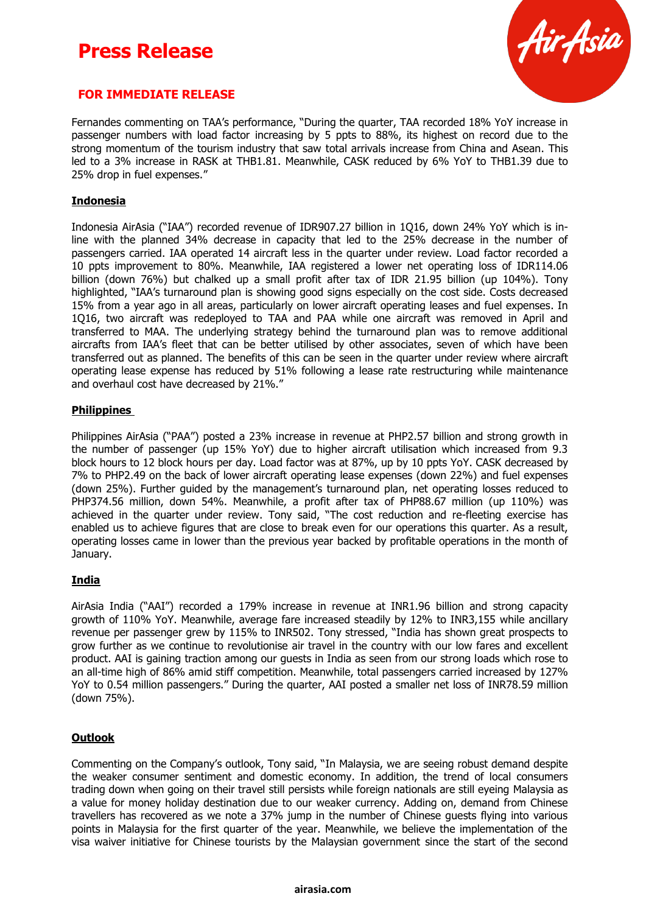

### **FOR IMMEDIATE RELEASE**

Fernandes commenting on TAA's performance, "During the quarter, TAA recorded 18% YoY increase in passenger numbers with load factor increasing by 5 ppts to 88%, its highest on record due to the strong momentum of the tourism industry that saw total arrivals increase from China and Asean. This led to a 3% increase in RASK at THB1.81. Meanwhile, CASK reduced by 6% YoY to THB1.39 due to 25% drop in fuel expenses."

#### **Indonesia**

Indonesia AirAsia ("IAA") recorded revenue of IDR907.27 billion in 1Q16, down 24% YoY which is inline with the planned 34% decrease in capacity that led to the 25% decrease in the number of passengers carried. IAA operated 14 aircraft less in the quarter under review. Load factor recorded a 10 ppts improvement to 80%. Meanwhile, IAA registered a lower net operating loss of IDR114.06 billion (down 76%) but chalked up a small profit after tax of IDR 21.95 billion (up 104%). Tony highlighted, "IAA's turnaround plan is showing good signs especially on the cost side. Costs decreased 15% from a year ago in all areas, particularly on lower aircraft operating leases and fuel expenses. In 1Q16, two aircraft was redeployed to TAA and PAA while one aircraft was removed in April and transferred to MAA. The underlying strategy behind the turnaround plan was to remove additional aircrafts from IAA's fleet that can be better utilised by other associates, seven of which have been transferred out as planned. The benefits of this can be seen in the quarter under review where aircraft operating lease expense has reduced by 51% following a lease rate restructuring while maintenance and overhaul cost have decreased by 21%."

#### **Philippines**

Philippines AirAsia ("PAA") posted a 23% increase in revenue at PHP2.57 billion and strong growth in the number of passenger (up 15% YoY) due to higher aircraft utilisation which increased from 9.3 block hours to 12 block hours per day. Load factor was at 87%, up by 10 ppts YoY. CASK decreased by 7% to PHP2.49 on the back of lower aircraft operating lease expenses (down 22%) and fuel expenses (down 25%). Further guided by the management's turnaround plan, net operating losses reduced to PHP374.56 million, down 54%. Meanwhile, a profit after tax of PHP88.67 million (up 110%) was achieved in the quarter under review. Tony said, "The cost reduction and re-fleeting exercise has enabled us to achieve figures that are close to break even for our operations this quarter. As a result, operating losses came in lower than the previous year backed by profitable operations in the month of January.

#### **India**

AirAsia India ("AAI") recorded a 179% increase in revenue at INR1.96 billion and strong capacity growth of 110% YoY. Meanwhile, average fare increased steadily by 12% to INR3,155 while ancillary revenue per passenger grew by 115% to INR502. Tony stressed, "India has shown great prospects to grow further as we continue to revolutionise air travel in the country with our low fares and excellent product. AAI is gaining traction among our guests in India as seen from our strong loads which rose to an all-time high of 86% amid stiff competition. Meanwhile, total passengers carried increased by 127% YoY to 0.54 million passengers." During the quarter, AAI posted a smaller net loss of INR78.59 million (down 75%).

#### **Outlook**

Commenting on the Company's outlook, Tony said, "In Malaysia, we are seeing robust demand despite the weaker consumer sentiment and domestic economy. In addition, the trend of local consumers trading down when going on their travel still persists while foreign nationals are still eyeing Malaysia as a value for money holiday destination due to our weaker currency. Adding on, demand from Chinese travellers has recovered as we note a 37% jump in the number of Chinese guests flying into various points in Malaysia for the first quarter of the year. Meanwhile, we believe the implementation of the visa waiver initiative for Chinese tourists by the Malaysian government since the start of the second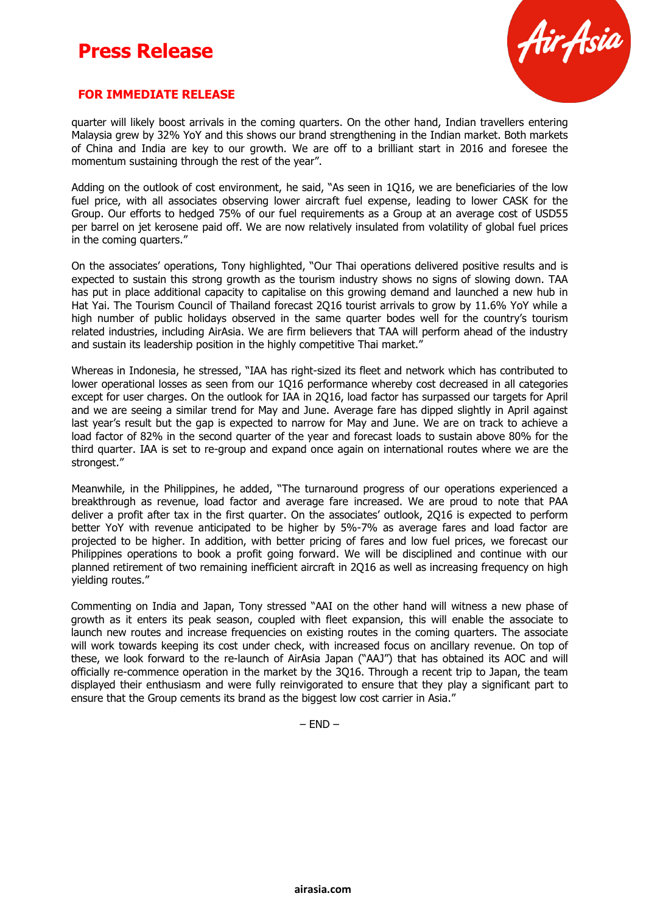

### **FOR IMMEDIATE RELEASE**

quarter will likely boost arrivals in the coming quarters. On the other hand, Indian travellers entering Malaysia grew by 32% YoY and this shows our brand strengthening in the Indian market. Both markets of China and India are key to our growth. We are off to a brilliant start in 2016 and foresee the momentum sustaining through the rest of the year".

Adding on the outlook of cost environment, he said, "As seen in 1Q16, we are beneficiaries of the low fuel price, with all associates observing lower aircraft fuel expense, leading to lower CASK for the Group. Our efforts to hedged 75% of our fuel requirements as a Group at an average cost of USD55 per barrel on jet kerosene paid off. We are now relatively insulated from volatility of global fuel prices in the coming quarters."

On the associates' operations, Tony highlighted, "Our Thai operations delivered positive results and is expected to sustain this strong growth as the tourism industry shows no signs of slowing down. TAA has put in place additional capacity to capitalise on this growing demand and launched a new hub in Hat Yai. The Tourism Council of Thailand forecast 2Q16 tourist arrivals to grow by 11.6% YoY while a high number of public holidays observed in the same quarter bodes well for the country's tourism related industries, including AirAsia. We are firm believers that TAA will perform ahead of the industry and sustain its leadership position in the highly competitive Thai market."

Whereas in Indonesia, he stressed, "IAA has right-sized its fleet and network which has contributed to lower operational losses as seen from our 1Q16 performance whereby cost decreased in all categories except for user charges. On the outlook for IAA in 2Q16, load factor has surpassed our targets for April and we are seeing a similar trend for May and June. Average fare has dipped slightly in April against last year's result but the gap is expected to narrow for May and June. We are on track to achieve a load factor of 82% in the second quarter of the year and forecast loads to sustain above 80% for the third quarter. IAA is set to re-group and expand once again on international routes where we are the strongest."

Meanwhile, in the Philippines, he added, "The turnaround progress of our operations experienced a breakthrough as revenue, load factor and average fare increased. We are proud to note that PAA deliver a profit after tax in the first quarter. On the associates' outlook, 2Q16 is expected to perform better YoY with revenue anticipated to be higher by 5%-7% as average fares and load factor are projected to be higher. In addition, with better pricing of fares and low fuel prices, we forecast our Philippines operations to book a profit going forward. We will be disciplined and continue with our planned retirement of two remaining inefficient aircraft in 2Q16 as well as increasing frequency on high yielding routes."

Commenting on India and Japan, Tony stressed "AAI on the other hand will witness a new phase of growth as it enters its peak season, coupled with fleet expansion, this will enable the associate to launch new routes and increase frequencies on existing routes in the coming quarters. The associate will work towards keeping its cost under check, with increased focus on ancillary revenue. On top of these, we look forward to the re-launch of AirAsia Japan ("AAJ") that has obtained its AOC and will officially re-commence operation in the market by the 3Q16. Through a recent trip to Japan, the team displayed their enthusiasm and were fully reinvigorated to ensure that they play a significant part to ensure that the Group cements its brand as the biggest low cost carrier in Asia."

 $-$  END  $-$